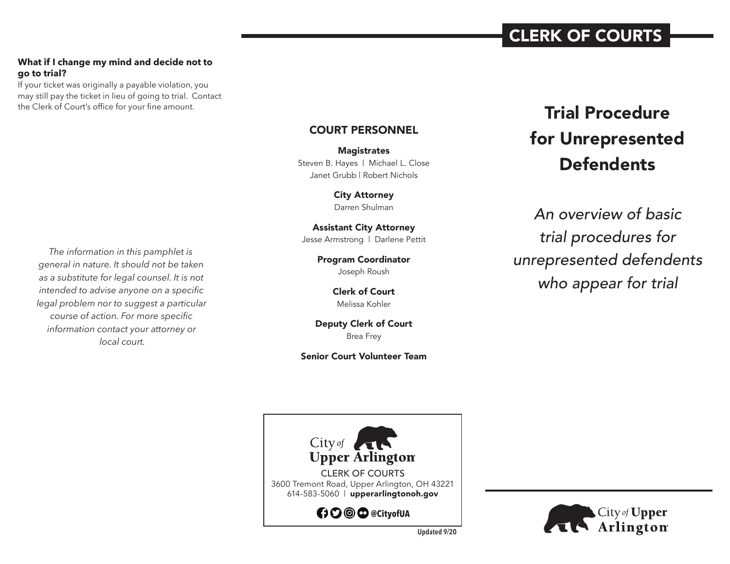# CLERK OF COURTS

#### **What if I change my mind and decide not to go to trial?**

If your ticket was originally a payable violation, you may still pay the ticket in lieu of going to trial. Contact the Clerk of Court's office for your fine amount.

*The information in this pamphlet is general in nature. It should not be taken as a substitute for legal counsel. It is not intended to advise anyone on a specific legal problem nor to suggest a particular course of action. For more specific information contact your attorney or local court.*

# COURT PERSONNEL

**Magistrates** Steven B. Hayes | Michael L. Close Janet Grubb | Robert Nichols

> City Attorney Darren Shulman

Assistant City Attorney Jesse Armstrong | Darlene Pettit

> Program Coordinator Joseph Roush

> > Clerk of Court Melissa Kohler

Deputy Clerk of Court Brea Frey

Senior Court Volunteer Team

# Trial Procedure for Unrepresented **Defendents**

*An overview of basic trial procedures for unrepresented defendents who appear for trial*





**Updated 9/20**